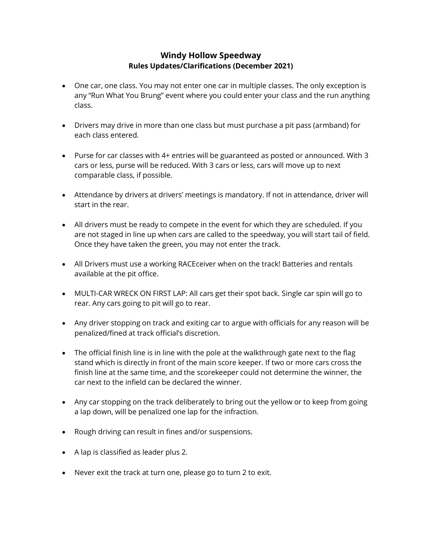# **Windy Hollow Speedway Rules Updates/Clarifications (December 2021)**

- One car, one class. You may not enter one car in multiple classes. The only exception is any "Run What You Brung" event where you could enter your class and the run anything class.
- Drivers may drive in more than one class but must purchase a pit pass (armband) for each class entered.
- Purse for car classes with 4+ entries will be guaranteed as posted or announced. With 3 cars or less, purse will be reduced. With 3 cars or less, cars will move up to next comparable class, if possible.
- Attendance by drivers at drivers' meetings is mandatory. If not in attendance, driver will start in the rear.
- All drivers must be ready to compete in the event for which they are scheduled. If you are not staged in line up when cars are called to the speedway, you will start tail of field. Once they have taken the green, you may not enter the track.
- All Drivers must use a working RACEceiver when on the track! Batteries and rentals available at the pit office.
- MULTI-CAR WRECK ON FIRST LAP: All cars get their spot back. Single car spin will go to rear. Any cars going to pit will go to rear.
- Any driver stopping on track and exiting car to argue with officials for any reason will be penalized/fined at track official's discretion.
- The official finish line is in line with the pole at the walkthrough gate next to the flag stand which is directly in front of the main score keeper. If two or more cars cross the finish line at the same time, and the scorekeeper could not determine the winner, the car next to the infield can be declared the winner.
- Any car stopping on the track deliberately to bring out the yellow or to keep from going a lap down, will be penalized one lap for the infraction.
- Rough driving can result in fines and/or suspensions.
- A lap is classified as leader plus 2.
- Never exit the track at turn one, please go to turn 2 to exit.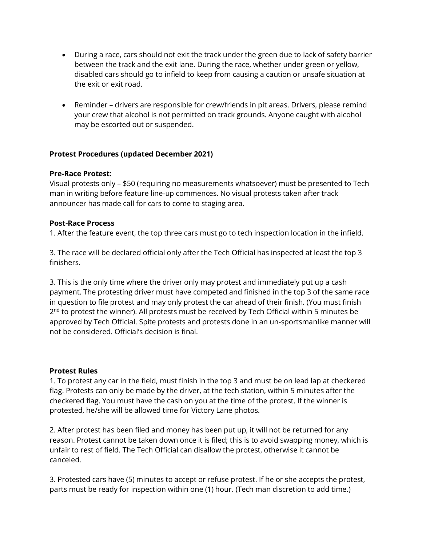- During a race, cars should not exit the track under the green due to lack of safety barrier between the track and the exit lane. During the race, whether under green or yellow, disabled cars should go to infield to keep from causing a caution or unsafe situation at the exit or exit road.
- Reminder drivers are responsible for crew/friends in pit areas. Drivers, please remind your crew that alcohol is not permitted on track grounds. Anyone caught with alcohol may be escorted out or suspended.

## **Protest Procedures (updated December 2021)**

### **Pre-Race Protest:**

Visual protests only – \$50 (requiring no measurements whatsoever) must be presented to Tech man in writing before feature line-up commences. No visual protests taken after track announcer has made call for cars to come to staging area.

### **Post-Race Process**

1. After the feature event, the top three cars must go to tech inspection location in the infield.

3. The race will be declared official only after the Tech Official has inspected at least the top 3 finishers.

3. This is the only time where the driver only may protest and immediately put up a cash payment. The protesting driver must have competed and finished in the top 3 of the same race in question to file protest and may only protest the car ahead of their finish. (You must finish 2<sup>nd</sup> to protest the winner). All protests must be received by Tech Official within 5 minutes be approved by Tech Official. Spite protests and protests done in an un-sportsmanlike manner will not be considered. Official's decision is final.

### **Protest Rules**

1. To protest any car in the field, must finish in the top 3 and must be on lead lap at checkered flag. Protests can only be made by the driver, at the tech station, within 5 minutes after the checkered flag. You must have the cash on you at the time of the protest. If the winner is protested, he/she will be allowed time for Victory Lane photos.

2. After protest has been filed and money has been put up, it will not be returned for any reason. Protest cannot be taken down once it is filed; this is to avoid swapping money, which is unfair to rest of field. The Tech Official can disallow the protest, otherwise it cannot be canceled.

3. Protested cars have (5) minutes to accept or refuse protest. If he or she accepts the protest, parts must be ready for inspection within one (1) hour. (Tech man discretion to add time.)